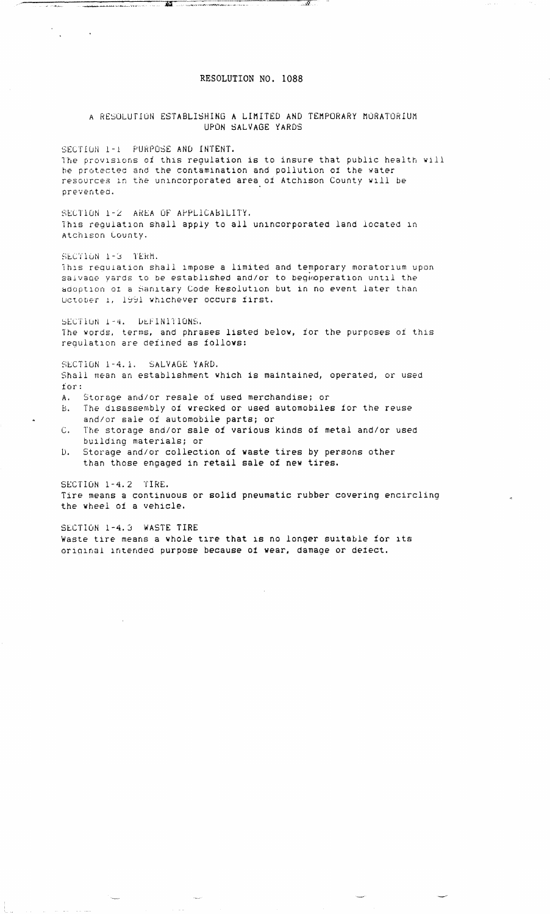## RESOLUTION NO. 1088

<u>in management in de state andere de la production de la production de la production de la production de la pro</u>

 $\sim 10^{-11}$  km

A RESOLUTION ESTABLISHING A LIMITED AND TEMPORARY MORATORIUM UPON SALVAGE YARDS SECTION 1-I PURPOSE AND INTENT. The provisions of this regulation is to insure that public health will be protected and the contamination and pollution of the water resources in the unincorporated area of Atchison County will be prevented. SECTION 1-2 AREA OF APPLiCAbiLITY. This regulation shall apply to all unincorporated land located in Atchison County. SECTION 1-3 TERM. This regulation shall impose a limited and temporary moratorium upon saivage yards to be established and/or to begioperation until the adoption or a Sanitary Code Resolution but in no event later than October 1, 1991 whichever occurs first. SECTION 1-4. DEFINITIONS. The words, terms, and phrases listed below, for the purposes of this regulation are defined as follows: SECTION 1-4. i. SALVAGE YARD. Shall mean an establishment which is maintained, operated, or used for: A. Storage and/or resale of used merchandise; or B. The disassembly of wrecked or used automobiles for the reuse and/or sale of automobile parts; or C. The storage and/or sale of various kinds of metal and/or used building materials; or D. Storage and/or collection of waste tires by persons other than those engaged in retail sale of new tires.

SECTION 1-4.2 TIRE. Tire means a continuous or solid pneumatic rubber covering encircling the wheel of a vehicle.

SECTION 1-4.3 WASTE TIRE Waste tire means a whole tire that is no longer suitable for its original intended purpose because of wear, damage or defect.

 $\frac{1}{2}$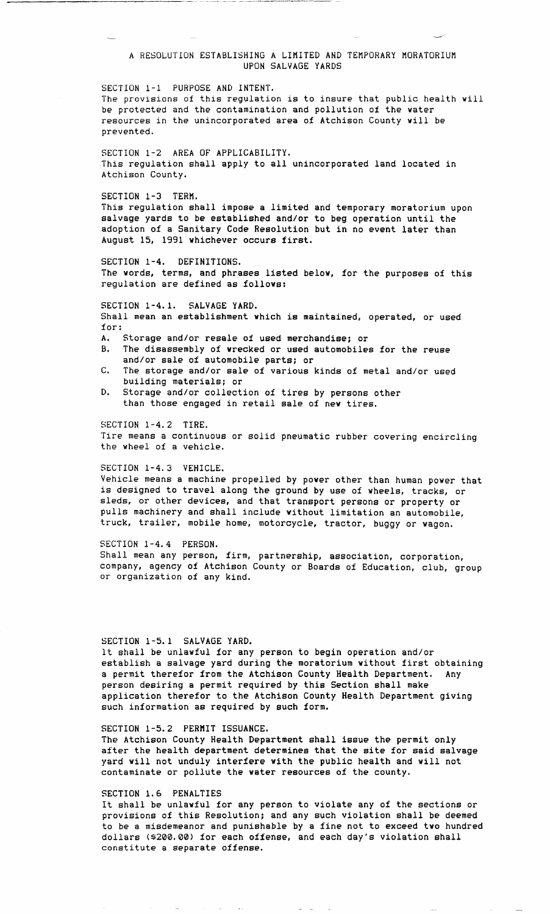# A RESOLUTION ESTABLISHING A LIMITED AND TEMPORARY MORATORIUM UPON SALVAGE YARDS

SECTION 1-1 PURPOSE AND INTENT. The provisions of this regulation is to insure that public health will be protected and the contamination and pollution of the water resources in the unincorporated area of Atchison County will be prevented.

SECTION 1-2 AREA OF APPLICABILITY. This regulation shall apply to all unincorporated land located in Atchison County.

SECTION 1-3 TERM.

This regulation shall impose a limited and temporary moratorium upon salvage yards to be established and/or to beg operation until the adoption of a Sanitary Code Resolution but in no event later than August 15, 1991 whichever occurs first.

SECTION 1-4. DEFINITIONS. The words, terms, and phrases listed below, for the purposes of this regulation are defined as follows:

SECTION 1-4.1. SALVAGE YARD. Shall mean an establishment which is maintained, operated, or used for: A. Storage and/or resale of used merchandise; or

- B. The disassembly of wrecked or used automobiles for the reuse and/or sale of automobile parts; or
- C. The storage and/or sale of various kinds of metal and/or used building materials; or
- D. Storage and/or collection of tires by persons other than those engaged in retail sale of new tires.

SECTION 1-4.2 TIRE. Tire means a continuous or solid pneumatic rubber covering encircling the wheel of a vehicle.

SECTION 1-4.3 VEHICLE. Vehicle means a machine propelled by power other than human power that is designed to travel along the ground by use of wheels, tracks, or sleds, or other devices, and that transport persons or property or pulls machinery and shall include without limitation an automobile, truck, trailer, mobile home, motorcycle, tractor, buggy or wagon.

SECTION 1-4.4 PERSON. Shall mean any person, firm, partnership, association, corporation, company, agency of Atchison County or Boards of Education, club, group or organization of any kind.

SECTION 1-5.1 SALVAGE YARD. It shall be unlawful for any person to begin operation and/or establish a salvage yard during the moratorium without first obtaining a permit therefor from the Atchison County Health Department. Any person desiring a permit required by this Section shall make application therefor to the Atchison County Health Department giving such information as required by such form.

SECTION 1-5.2 PERMIT ISSUANCE. The Atchison County Health Department shall issue the permit only after the health department determines that the site for said salvage yard will not unduly interfere with the public health and will not contaminate or pollute the water resources of the county.

#### SECTION 1.6 PENALTIES

It shall be unlawful for any person to violate any of the sections or provisions of this Resolution; and any such violation shall be deemed to be a misdemeanor and punishable by a fine not to exceed two hundred dollars (\$200.00) for each offense, and each day's violation shall constitute a separate offense.